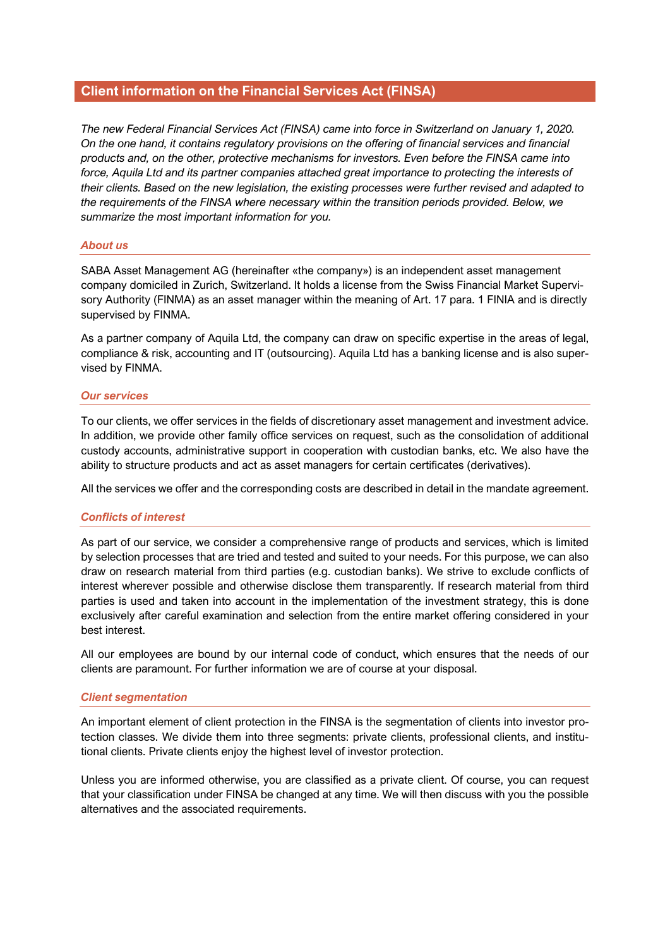# **Client information on the Financial Services Act (FINSA)**

*The new Federal Financial Services Act (FINSA) came into force in Switzerland on January 1, 2020. On the one hand, it contains regulatory provisions on the offering of financial services and financial products and, on the other, protective mechanisms for investors. Even before the FINSA came into force, Aquila Ltd and its partner companies attached great importance to protecting the interests of their clients. Based on the new legislation, the existing processes were further revised and adapted to the requirements of the FINSA where necessary within the transition periods provided. Below, we summarize the most important information for you.* 

## *About us*

SABA Asset Management AG (hereinafter «the company») is an independent asset management company domiciled in Zurich, Switzerland. It holds a license from the Swiss Financial Market Supervisory Authority (FINMA) as an asset manager within the meaning of Art. 17 para. 1 FINIA and is directly supervised by FINMA.

As a partner company of Aquila Ltd, the company can draw on specific expertise in the areas of legal, compliance & risk, accounting and IT (outsourcing). Aquila Ltd has a banking license and is also supervised by FINMA.

## *Our services*

To our clients, we offer services in the fields of discretionary asset management and investment advice. In addition, we provide other family office services on request, such as the consolidation of additional custody accounts, administrative support in cooperation with custodian banks, etc. We also have the ability to structure products and act as asset managers for certain certificates (derivatives).

All the services we offer and the corresponding costs are described in detail in the mandate agreement.

#### *Conflicts of interest*

As part of our service, we consider a comprehensive range of products and services, which is limited by selection processes that are tried and tested and suited to your needs. For this purpose, we can also draw on research material from third parties (e.g. custodian banks). We strive to exclude conflicts of interest wherever possible and otherwise disclose them transparently. If research material from third parties is used and taken into account in the implementation of the investment strategy, this is done exclusively after careful examination and selection from the entire market offering considered in your best interest.

All our employees are bound by our internal code of conduct, which ensures that the needs of our clients are paramount. For further information we are of course at your disposal.

#### *Client segmentation*

An important element of client protection in the FINSA is the segmentation of clients into investor protection classes. We divide them into three segments: private clients, professional clients, and institutional clients. Private clients enjoy the highest level of investor protection.

Unless you are informed otherwise, you are classified as a private client. Of course, you can request that your classification under FINSA be changed at any time. We will then discuss with you the possible alternatives and the associated requirements.